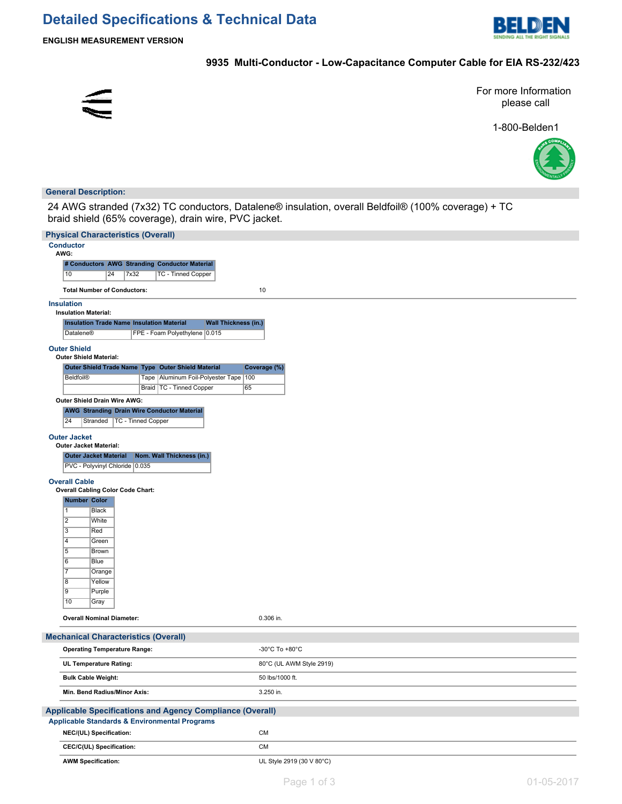# **Detailed Specifications & Technical Data**



**ENGLISH MEASUREMENT VERSION**

## **9935 Multi-Conductor - Low-Capacitance Computer Cable for EIA RS-232/423**



For more Information please call

1-800-Belden1



#### **General Description:**

24 AWG stranded (7x32) TC conductors, Datalene® insulation, overall Beldfoil® (100% coverage) + TC braid shield (65% coverage), drain wire, PVC jacket.

| <b>Physical Characteristics (Overall)</b>                                                                                    |                           |
|------------------------------------------------------------------------------------------------------------------------------|---------------------------|
| <b>Conductor</b>                                                                                                             |                           |
| AWG:<br># Conductors AWG Stranding Conductor Material                                                                        |                           |
| <b>TC - Tinned Copper</b><br>10<br>24<br>7x32                                                                                |                           |
|                                                                                                                              |                           |
| <b>Total Number of Conductors:</b>                                                                                           | 10                        |
| <b>Insulation</b>                                                                                                            |                           |
| <b>Insulation Material:</b><br><b>Wall Thickness (in.)</b><br><b>Insulation Trade Name Insulation Material</b>               |                           |
| FPE - Foam Polyethylene 0.015<br>Datalene®                                                                                   |                           |
|                                                                                                                              |                           |
| <b>Outer Shield</b><br><b>Outer Shield Material:</b>                                                                         |                           |
| Outer Shield Trade Name Type Outer Shield Material                                                                           | Coverage (%)              |
| Tape   Aluminum Foil-Polyester Tape   100<br>Beldfoil®                                                                       |                           |
| Braid   TC - Tinned Copper<br>65                                                                                             |                           |
| Outer Shield Drain Wire AWG:                                                                                                 |                           |
| <b>AWG Stranding Drain Wire Conductor Material</b>                                                                           |                           |
| 24<br>Stranded   TC - Tinned Copper                                                                                          |                           |
| <b>Outer Jacket</b>                                                                                                          |                           |
| <b>Outer Jacket Material:</b>                                                                                                |                           |
| Nom. Wall Thickness (in.)<br><b>Outer Jacket Material</b><br>PVC - Polyvinyl Chloride 0.035                                  |                           |
|                                                                                                                              |                           |
| <b>Overall Cable</b><br><b>Overall Cabling Color Code Chart:</b>                                                             |                           |
| <b>Number Color</b>                                                                                                          |                           |
| 1<br>Black                                                                                                                   |                           |
| $\overline{2}$<br>White                                                                                                      |                           |
| 3<br>Red                                                                                                                     |                           |
| 4<br>Green                                                                                                                   |                           |
| 5<br>Brown<br>6                                                                                                              |                           |
| <b>Blue</b><br>$\overline{7}$<br>Orange                                                                                      |                           |
| $\overline{8}$<br>Yellow                                                                                                     |                           |
| 19<br>Purple                                                                                                                 |                           |
| 10<br>Gray                                                                                                                   |                           |
| <b>Overall Nominal Diameter:</b>                                                                                             | 0.306 in.                 |
|                                                                                                                              |                           |
| <b>Mechanical Characteristics (Overall)</b>                                                                                  |                           |
| <b>Operating Temperature Range:</b>                                                                                          | -30°C To +80°C            |
| UL Temperature Rating:                                                                                                       | 80°C (UL AWM Style 2919)  |
| <b>Bulk Cable Weight:</b>                                                                                                    | 50 lbs/1000 ft.           |
| Min. Bend Radius/Minor Axis:                                                                                                 | 3.250 in.                 |
|                                                                                                                              |                           |
| <b>Applicable Specifications and Agency Compliance (Overall)</b><br><b>Applicable Standards &amp; Environmental Programs</b> |                           |
| NEC/(UL) Specification:                                                                                                      | CM                        |
| CEC/C(UL) Specification:                                                                                                     | <b>CM</b>                 |
| <b>AWM Specification:</b>                                                                                                    | UL Style 2919 (30 V 80°C) |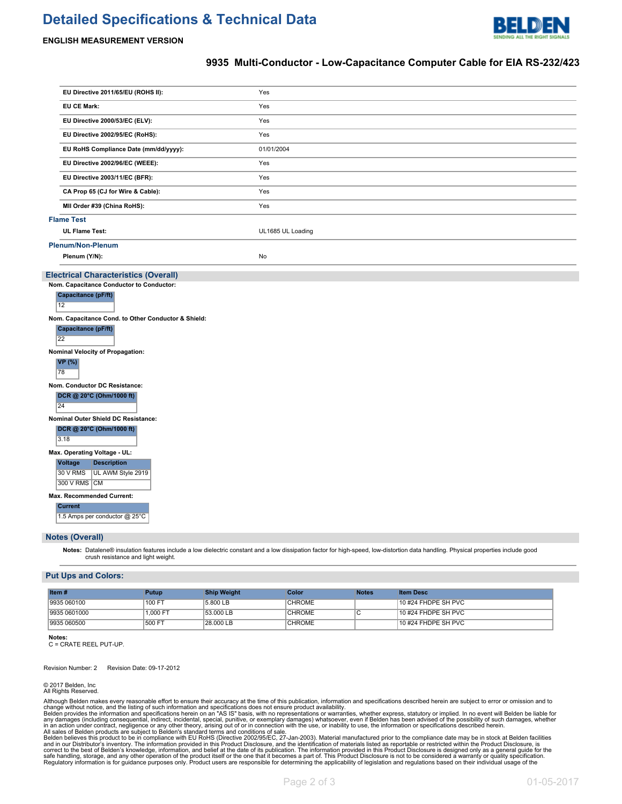## **Detailed Specifications & Technical Data**



#### **ENGLISH MEASUREMENT VERSION**

### **9935 Multi-Conductor - Low-Capacitance Computer Cable for EIA RS-232/423**

| EU Directive 2011/65/EU (ROHS II):                                    | Yes               |
|-----------------------------------------------------------------------|-------------------|
| <b>EU CE Mark:</b>                                                    | Yes               |
| EU Directive 2000/53/EC (ELV):                                        | Yes               |
| EU Directive 2002/95/EC (RoHS):                                       | Yes               |
| EU RoHS Compliance Date (mm/dd/yyyy):                                 | 01/01/2004        |
| EU Directive 2002/96/EC (WEEE):                                       | Yes               |
| EU Directive 2003/11/EC (BFR):                                        | Yes               |
| CA Prop 65 (CJ for Wire & Cable):                                     | Yes               |
| MII Order #39 (China RoHS):                                           | Yes               |
| <b>Flame Test</b>                                                     |                   |
| <b>UL Flame Test:</b>                                                 | UL1685 UL Loading |
| <b>Plenum/Non-Plenum</b>                                              |                   |
| Plenum (Y/N):                                                         | No                |
| <b>Electrical Characteristics (Overall)</b>                           |                   |
| Nom. Capacitance Conductor to Conductor:                              |                   |
| Capacitance (pF/ft)                                                   |                   |
| 12                                                                    |                   |
| Nom. Capacitance Cond. to Other Conductor & Shield:                   |                   |
| <b>Capacitance (pF/ft)</b><br>22                                      |                   |
| Nominal Velocity of Propagation:                                      |                   |
| <b>VP</b> (%)                                                         |                   |
| 78                                                                    |                   |
| Nom. Conductor DC Resistance:                                         |                   |
| DCR @ 20°C (Ohm/1000 ft)<br>24                                        |                   |
| Nominal Outer Shield DC Resistance:                                   |                   |
| DCR @ 20°C (Ohm/1000 ft)                                              |                   |
| 3.18                                                                  |                   |
| Max. Operating Voltage - UL:                                          |                   |
| <b>Description</b><br><b>Voltage</b><br>30 V RMS<br>UL AWM Style 2919 |                   |
| 300 V RMS CM                                                          |                   |
| Max. Recommended Current:                                             |                   |
| <b>Current</b>                                                        |                   |
| 1.5 Amps per conductor @ 25°C                                         |                   |
| <b>Notes (Overall)</b>                                                |                   |

**Notes:** Datalene® insulation features include a low dielectric constant and a low dissipation factor for high-speed, low-distortion data handling. Physical properties include good crush resistance and light weight.

#### **Put Ups and Colors:**

| Item $#$     | Putup    | <b>Ship Weight</b> | Color         | <b>Notes</b> | <b>Item Desc</b>     |
|--------------|----------|--------------------|---------------|--------------|----------------------|
| 9935 060100  | 100 FT   | 5.800 LB           | <b>CHROME</b> |              | 10 #24 FHDPE SH PVC  |
| 9935 0601000 | 1.000 FT | 53.000 LB          | <b>CHROME</b> |              | $10#24$ FHDPE SH PVC |
| 9935 060500  | 500 FT   | 28,000 LB          | <b>CHROME</b> |              | 10 #24 FHDPE SH PVC  |

**Notes:** C = CRATE REEL PUT-UP.

Revision Number: 2 Revision Date: 09-17-2012

© 2017 Belden, Inc All Rights Reserved.

Although Belden makes every reasonable effort to ensure their accuracy at the time of this publication, information and specifications described herein are subject to error or omission and to<br>change without notice, and the